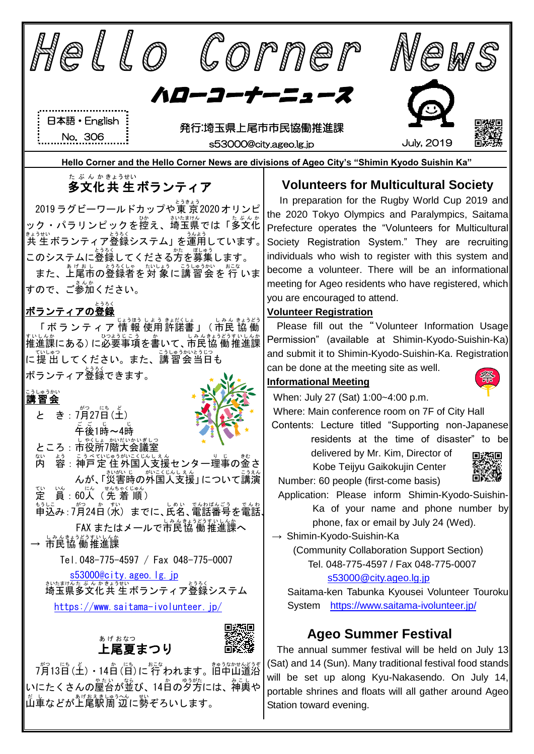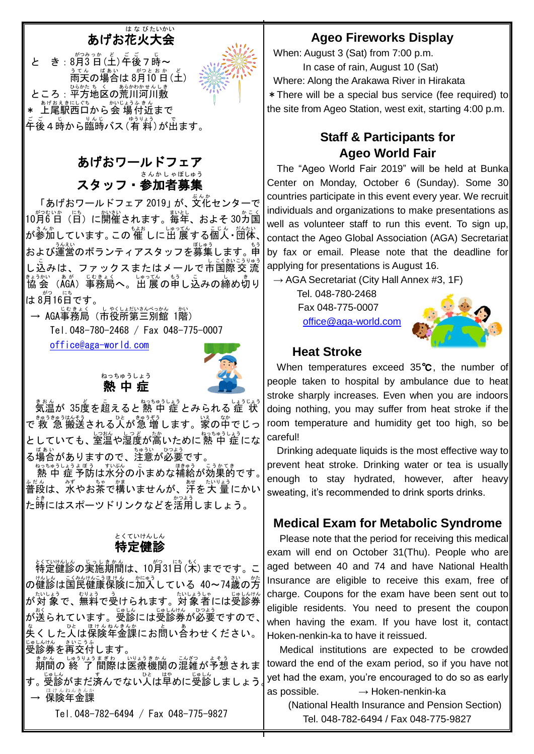#### あげお花火 大会 はなび たいかい

と き : 8月3日(土)年後7時~ ぅてん ぱぁぃ がっとぉゕ ど<br>雨天の場合は 8月10 日 (土) ところ:平方地区の荒川河川敷 \* 上尾駅西口から会 場付近まで 。<br>年後4時から臨時バス(宥 料)が出ます。



### あげおワールドフェア スタッフ・参加者 募集 さんかしゃ ぼしゅう

「あげおワールドフェア 2019」 が、文化センターで 10月 がつ 6 日 むいか (日 にち )に開催 かいさい されます。毎年 まいとし 、およそ 30カ国 かこく が参加しています。この 催 しに出 展する個人・団体、│ および運営のボランティアスタッフを募集します。申 し込みは、ファックスまたはメールで市国際交流 まうか、あが、じむまく、、しじってん。もう<br>協会 (AGA) 事務局へ。出 展の申し込みの締め切り は 8月16日です。

→ AGA事務局(市役所第三別館 1階)

Tel.048-780-2468 / Fax 048-775-0007

[office@aga-world.com](mailto:office@aga-world.com)



熱 中 症 ねっちゅうしょう

ま。。<br>気温が 35度を超えると熱 中 症 とみられる 症 状 \_ <sub>きゅうきゅうはそう</sub><br>で 救 急 搬送される人が急 増します。家の中でじっ としていても、室温や湿度が高いために熱 中 症にな ■ばぁぃ<br>る場合がありますので、注意が必要です。

ねっちゅうしょう ぼう こうかてき<br>|熱 中 症 予防は水分の小まめな補給が効果的です。| 普段 ふだん は、水 みず やお茶 ちゃ で構 かま いませんが、汗 あせ を大 量 たいりょう にかい た時にはスポーツドリンクなどを活用しましょう。

#### 特定 健 とくてい けん しん 診

特定 とくてい 健 けん 診 しん の実施 じっし 期間 きかん は、10月 がつ 31日 にち (木 もく )までです。こ の健診は国民健康保険に加入している 40~74歳の芳 、ないよう。<br>**が対 象で、無料で受けられます。対 象者には受診券** が送られています。受診には受診券が必要ですので、 <u>。</u><br>失くした人は保険年金課にお問い合わせください。 受診券 を再交付 します。 じゅしんけん さいこうふ

期間 きかん の 終 了 しゅうりょう 間際 まぎわ は医療 いりょう 機関 きかん の混雑 こんざつ が予想 よそう されま す。受診がまだ済んでない人は単めに受診しましょう√♪ → 保険年金課

Tel.048-782-6494 / Fax 048-775-9827

### **Ageo Fireworks Display**

When: August 3 (Sat) from 7:00 p.m. In case of rain, August 10 (Sat) Where: Along the Arakawa River in Hirakata \*There will be a special bus service (fee required) to the site from Ageo Station, west exit, starting 4:00 p.m.

### **Staff & Participants for Ageo World Fair**

The "Ageo World Fair 2019" will be held at Bunka Center on Monday, October 6 (Sunday). Some 30 countries participate in this event every year. We recruit individuals and organizations to make presentations as well as volunteer staff to run this event. To sign up, contact the Ageo Global Association (AGA) Secretariat by fax or email. Please note that the deadline for applying for presentations is August 16.

 $\rightarrow$  AGA Secretariat (City Hall Annex #3, 1F)

Tel. 048-780-2468 Fax 048-775-0007

[office@aga-world.com](mailto:office@aga-world.com)



### **Heat Stroke**

When temperatures exceed 35℃, the number of people taken to hospital by ambulance due to heat stroke sharply increases. Even when you are indoors doing nothing, you may suffer from heat stroke if the room temperature and humidity get too high, so be careful!

Drinking adequate liquids is the most effective way to prevent heat stroke. Drinking water or tea is usually enough to stay hydrated, however, after heavy sweating, it's recommended to drink sports drinks.

### **Medical Exam for Metabolic Syndrome**

Please note that the period for receiving this medical exam will end on October 31(Thu). People who are aged between 40 and 74 and have National Health Insurance are eligible to receive this exam, free of charge. Coupons for the exam have been sent out to eligible residents. You need to present the coupon when having the exam. If you have lost it, contact Hoken-nenkin-ka to have it reissued.

Medical institutions are expected to be crowded toward the end of the exam period, so if you have not yet had the exam, you're encouraged to do so as early as possible. **→** Hoken-nenkin-ka

(National Health Insurance and Pension Section) Tel. 048-782-6494 / Fax 048-775-9827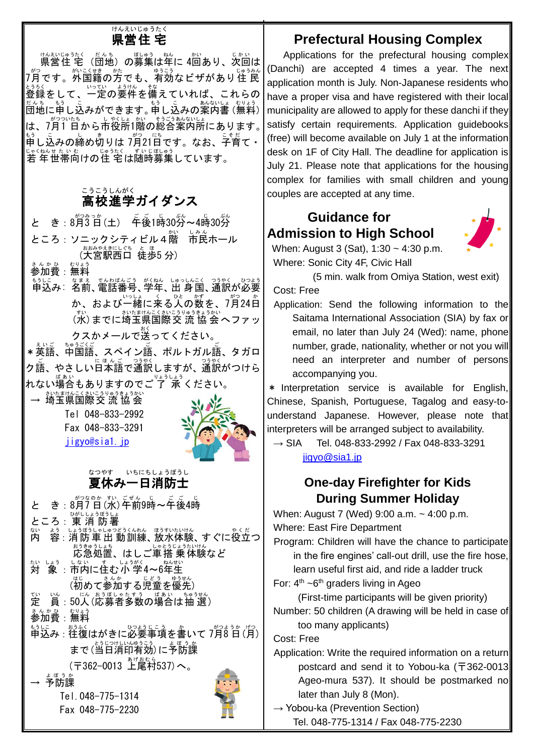#### 県営 住 宅 けんえい じゅうたく

<sub>けんえいじゅうたく だんち) の募集は年に 4回あり、次回は<br>県営住 宅 (団地)の募集は年に 4回あり、次回は</sub> プ゚月です。<sup>ゕ</sup>゚゚゚゚゚゙゚゚゚゚゚<sup>ゕぇ</sup>゚゚゚゚゚゚゚゠゠゠゠゠゠゠゠゠゠゠゠゠゠゠゠゠゠゠゠゠゠゠<br>7月です。外国籍の方でも、有効なビザがあり住 民 عودي<br>登録をして、一定の要件を備えていれば、これらの <sub>だんち もう</sub><br>団地に申し込みができます。 申し込みの案内書 (無料) | は、7月1日から市役所1階の総合案内所にあります。 <u>。</u><br>申し込みの締め切りは 7月21日です。なお、子育て・ <sub>じゃくねくせんも</sub><br>若 年 世帯向けの住 宅 は随時募集しています。

#### 高校進学ガイダンス こうこう しんがく

と き: 8月3日(土) 年後1時30労~4時30労 ところ : ソニックシティビル4階 ま。<br>ホール (大宮駅西口 徒歩5分) さんかひ むりょ

参加費:無料

<u>もうに。なまま。でんなお、ほうしんこく、つきやく、いんお</u><br>申込み: 名前、電話番号、学年、出 身国、通訳が必要 ゕ、および一緒に来る人の数を、7月24日 (水 すい )までに埼玉県 さいたまけん 国際 こくさい 交 流 こうりゅう 協 会 きょうかい へファッ

クスかメールで送 おく ってください。 \*英語、中国語、スペイン語、ポルトガル語、タガロ

ク語、やさしい日本語で通訳しますが、通訳がつけら れない<sup>場合</sup>もありますのでご 了 承 ください。

→ 埼玉県国際交 流 協 会 Tel 048-833-2992 Fax 048-833-3291 [jigyo@sia1.jp](mailto:jigyo@sia1.jp)



#### 夏休 み一日 消防士 なつやす いちにち しょうぼうし

と き : 8月7日(水)午前9時~午後4時 ところ : 東 消 防署 内 ない ょぅ。しょうぼうしゅつどうくんれん。ほうすいたいけん<br>容:消 防 車 出 動 訓練、放水体験、すぐに役立つ おきゅうしょう。<br>応急処置、はしご車搭 乗体験など \*:\ しょう しょうがく<br>**対 象 :市内に住む 小 学4~6年生** (初めて参加する児童を優先) 定 てい い。<br>員:50人(応募者多数の場合は抽 選) <u>ょんかひ、むりょう</u><br>参加費:無料 申込 もうしこ み:往復 おうふく はがきに必要 ひつよう 事項 じこう を書 か いて 7月 がつ 8 日 ようか (月 げつ ) まで(当日消印有効)に予防課 (〒362-0013 上尾村 あげおむら 537)へ。 → 予防課 よぼうか Tel.048-775-1314 Fax 048-775-2230

## **Prefectural Housing Complex**

Applications for the prefectural housing complex (Danchi) are accepted 4 times a year. The next application month is July. Non-Japanese residents who have a proper visa and have registered with their local municipality are allowed to apply for these danchi if they satisfy certain requirements. Application quidebooks (free) will become available on July 1 at the information desk on 1F of City Hall. The deadline for application is July 21. Please note that applications for the housing complex for families with small children and young couples are accepted at any time.

### **Guidance for Admission to High School**



When: August 3 (Sat), 1:30 ~ 4:30 p.m. Where: Sonic City 4F, Civic Hall

(5 min. walk from Omiya Station, west exit)

Cost: Free

Application: Send the following information to the Saitama International Association (SIA) by fax or email, no later than July 24 (Wed): name, phone number, grade, nationality, whether or not you will need an interpreter and number of persons accompanying you.

\* Interpretation service is available for English, Chinese, Spanish, Portuguese, Tagalog and easy-tounderstand Japanese. However, please note that interpreters will be arranged subject to availability.

 $\rightarrow$  SIA Tel. 048-833-2992 / Fax 048-833-3291 [jigyo@sia1.jp](mailto:jigyo@sia1.jp)

### **One-day Firefighter for Kids During Summer Holiday**

When: August 7 (Wed) 9:00 a.m. ~ 4:00 p.m. Where: East Fire Department

Program: Children will have the chance to participate in the fire engines' call-out drill, use the fire hose, learn useful first aid, and ride a ladder truck

For:  $4<sup>th</sup>$  ~6<sup>th</sup> graders living in Ageo

(First-time participants will be given priority)

Number: 50 children (A drawing will be held in case of too many applicants)

Cost: Free

Application: Write the required information on a return postcard and send it to Yobou-ka (〒362-0013 Ageo-mura 537). It should be postmarked no later than July 8 (Mon).

 $\rightarrow$  Yobou-ka (Prevention Section) Tel. 048-775-1314 / Fax 048-775-2230